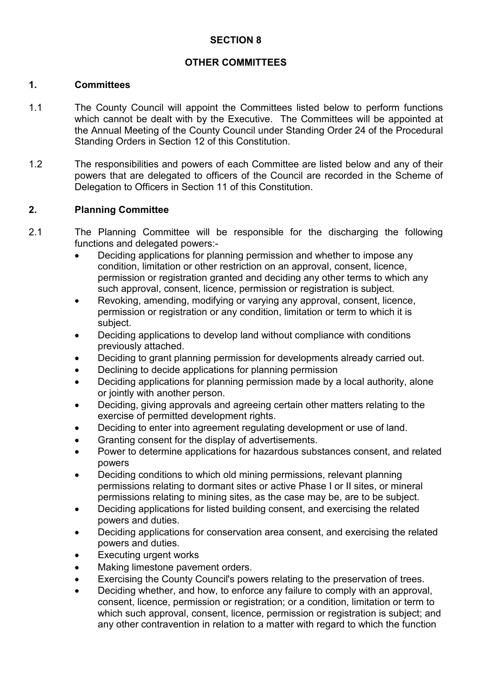### **SECTION 8**

### **OTHER COMMITTEES**

#### **1. Committees**

- 1.1 The County Council will appoint the Committees listed below to perform functions which cannot be dealt with by the Executive. The Committees will be appointed at the Annual Meeting of the County Council under Standing Order 24 of the Procedural Standing Orders in Section 12 of this Constitution.
- 1.2 The responsibilities and powers of each Committee are listed below and any of their powers that are delegated to officers of the Council are recorded in the Scheme of Delegation to Officers in Section 11 of this Constitution.

#### **2. Planning Committee**

- 2.1 The Planning Committee will be responsible for the discharging the following functions and delegated powers:-
	- Deciding applications for planning permission and whether to impose any condition, limitation or other restriction on an approval, consent, licence, permission or registration granted and deciding any other terms to which any such approval, consent, licence, permission or registration is subject.
	- Revoking, amending, modifying or varying any approval, consent, licence, permission or registration or any condition, limitation or term to which it is subject.
	- Deciding applications to develop land without compliance with conditions previously attached.
	- Deciding to grant planning permission for developments already carried out.
	- Declining to decide applications for planning permission
	- Deciding applications for planning permission made by a local authority, alone or jointly with another person.
	- Deciding, giving approvals and agreeing certain other matters relating to the exercise of permitted development rights.
	- Deciding to enter into agreement regulating development or use of land.
	- Granting consent for the display of advertisements.
	- Power to determine applications for hazardous substances consent, and related powers
	- Deciding conditions to which old mining permissions, relevant planning permissions relating to dormant sites or active Phase I or II sites, or mineral permissions relating to mining sites, as the case may be, are to be subject.
	- Deciding applications for listed building consent, and exercising the related powers and duties.
	- Deciding applications for conservation area consent, and exercising the related powers and duties.
	- Executing urgent works
	- Making limestone pavement orders.
	- Exercising the County Council's powers relating to the preservation of trees.
	- Deciding whether, and how, to enforce any failure to comply with an approval, consent, licence, permission or registration; or a condition, limitation or term to which such approval, consent, licence, permission or registration is subject; and any other contravention in relation to a matter with regard to which the function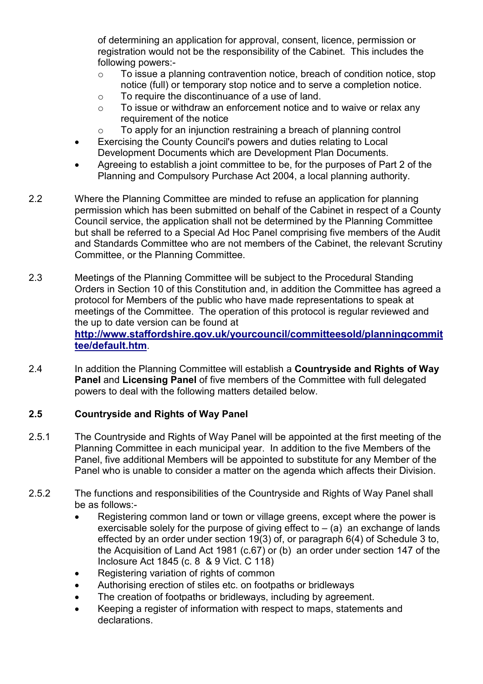of determining an application for approval, consent, licence, permission or registration would not be the responsibility of the Cabinet. This includes the following powers:-

- o To issue a planning contravention notice, breach of condition notice, stop notice (full) or temporary stop notice and to serve a completion notice.
- o To require the discontinuance of a use of land.
- $\circ$  To issue or withdraw an enforcement notice and to waive or relax any requirement of the notice
- $\circ$  To apply for an injunction restraining a breach of planning control
- Exercising the County Council's powers and duties relating to Local Development Documents which are Development Plan Documents.
- Agreeing to establish a joint committee to be, for the purposes of Part 2 of the Planning and Compulsory Purchase Act 2004, a local planning authority.
- 2.2 Where the Planning Committee are minded to refuse an application for planning permission which has been submitted on behalf of the Cabinet in respect of a County Council service, the application shall not be determined by the Planning Committee but shall be referred to a Special Ad Hoc Panel comprising five members of the Audit and Standards Committee who are not members of the Cabinet, the relevant Scrutiny Committee, or the Planning Committee.
- 2.3 Meetings of the Planning Committee will be subject to the Procedural Standing Orders in Section 10 of this Constitution and, in addition the Committee has agreed a protocol for Members of the public who have made representations to speak at meetings of the Committee. The operation of this protocol is regular reviewed and the up to date version can be found at

**http://www.staffordshire.gov.uk/yourcouncil/committeesold/planningcommit tee/default.htm**.

2.4 In addition the Planning Committee will establish a **Countryside and Rights of Way Panel** and **Licensing Panel** of five members of the Committee with full delegated powers to deal with the following matters detailed below.

# **2.5 Countryside and Rights of Way Panel**

- 2.5.1 The Countryside and Rights of Way Panel will be appointed at the first meeting of the Planning Committee in each municipal year. In addition to the five Members of the Panel, five additional Members will be appointed to substitute for any Member of the Panel who is unable to consider a matter on the agenda which affects their Division.
- 2.5.2 The functions and responsibilities of the Countryside and Rights of Way Panel shall be as follows:-
	- Registering common land or town or village greens, except where the power is exercisable solely for the purpose of giving effect to  $-$  (a) an exchange of lands effected by an order under section 19(3) of, or paragraph 6(4) of Schedule 3 to, the Acquisition of Land Act 1981 (c.67) or (b) an order under section 147 of the Inclosure Act 1845 (c. 8 & 9 Vict. C 118)
	- Registering variation of rights of common
	- Authorising erection of stiles etc. on footpaths or bridleways
	- The creation of footpaths or bridleways, including by agreement.
	- Keeping a register of information with respect to maps, statements and declarations.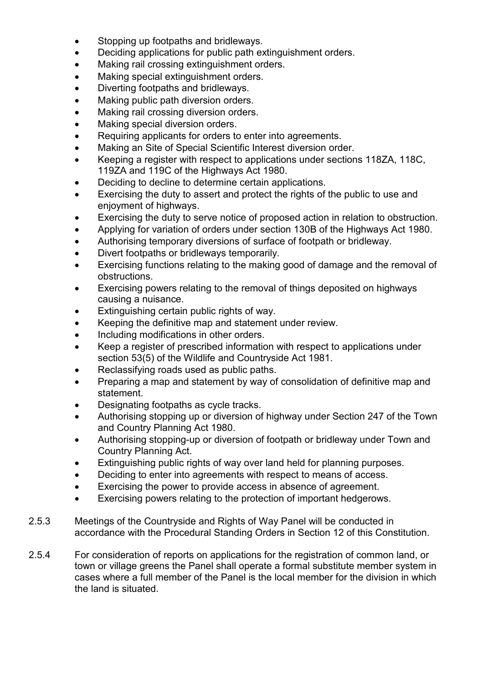- Stopping up footpaths and bridleways.
- Deciding applications for public path extinguishment orders.
- Making rail crossing extinguishment orders.
- Making special extinguishment orders.
- Diverting footpaths and bridleways.
- Making public path diversion orders.
- Making rail crossing diversion orders.
- Making special diversion orders.
- Requiring applicants for orders to enter into agreements.
- Making an Site of Special Scientific Interest diversion order.
- Keeping a register with respect to applications under sections 118ZA, 118C, 119ZA and 119C of the Highways Act 1980.
- Deciding to decline to determine certain applications.
- Exercising the duty to assert and protect the rights of the public to use and enjoyment of highways.
- Exercising the duty to serve notice of proposed action in relation to obstruction.
- Applying for variation of orders under section 130B of the Highways Act 1980.
- Authorising temporary diversions of surface of footpath or bridleway.
- Divert footpaths or bridleways temporarily.
- Exercising functions relating to the making good of damage and the removal of obstructions.
- Exercising powers relating to the removal of things deposited on highways causing a nuisance.
- Extinguishing certain public rights of way.
- Keeping the definitive map and statement under review.
- Including modifications in other orders.
- Keep a register of prescribed information with respect to applications under section 53(5) of the Wildlife and Countryside Act 1981.
- Reclassifying roads used as public paths.
- Preparing a map and statement by way of consolidation of definitive map and statement.
- Designating footpaths as cycle tracks.
- Authorising stopping up or diversion of highway under Section 247 of the Town and Country Planning Act 1980.
- Authorising stopping-up or diversion of footpath or bridleway under Town and Country Planning Act.
- Extinguishing public rights of way over land held for planning purposes.
- Deciding to enter into agreements with respect to means of access.
- Exercising the power to provide access in absence of agreement.
- Exercising powers relating to the protection of important hedgerows.
- 2.5.3 Meetings of the Countryside and Rights of Way Panel will be conducted in accordance with the Procedural Standing Orders in Section 12 of this Constitution.
- 2.5.4 For consideration of reports on applications for the registration of common land, or town or village greens the Panel shall operate a formal substitute member system in cases where a full member of the Panel is the local member for the division in which the land is situated.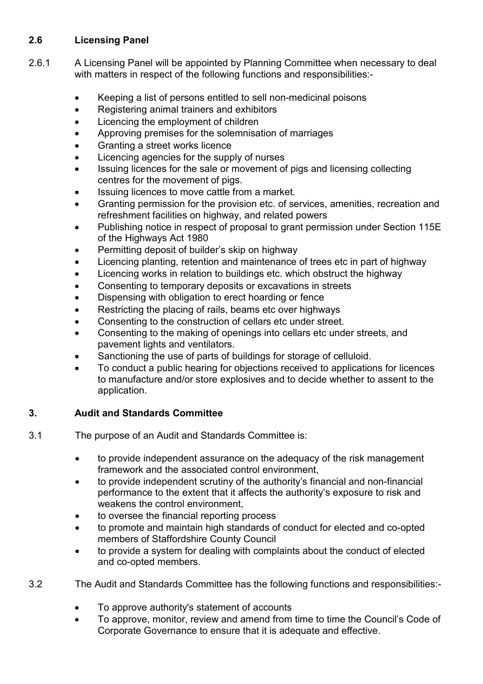# **2.6 Licensing Panel**

- 2.6.1 A Licensing Panel will be appointed by Planning Committee when necessary to deal with matters in respect of the following functions and responsibilities:-
	- Keeping a list of persons entitled to sell non-medicinal poisons
	- Registering animal trainers and exhibitors
	- Licencing the employment of children
	- Approving premises for the solemnisation of marriages
	- Granting a street works licence
	- Licencing agencies for the supply of nurses
	- Issuing licences for the sale or movement of pigs and licensing collecting centres for the movement of pigs.
	- Issuing licences to move cattle from a market.
	- Granting permission for the provision etc. of services, amenities, recreation and refreshment facilities on highway, and related powers
	- Publishing notice in respect of proposal to grant permission under Section 115E of the Highways Act 1980
	- Permitting deposit of builder's skip on highway
	- Licencing planting, retention and maintenance of trees etc in part of highway
	- Licencing works in relation to buildings etc. which obstruct the highway
	- Consenting to temporary deposits or excavations in streets
	- Dispensing with obligation to erect hoarding or fence
	- Restricting the placing of rails, beams etc over highways
	- Consenting to the construction of cellars etc under street.
	- Consenting to the making of openings into cellars etc under streets, and pavement lights and ventilators.
	- Sanctioning the use of parts of buildings for storage of celluloid.
	- To conduct a public hearing for objections received to applications for licences to manufacture and/or store explosives and to decide whether to assent to the application.

# **3. Audit and Standards Committee**

- 3.1 The purpose of an Audit and Standards Committee is:
	- to provide independent assurance on the adequacy of the risk management framework and the associated control environment,
	- to provide independent scrutiny of the authority's financial and non-financial performance to the extent that it affects the authority's exposure to risk and weakens the control environment,
	- to oversee the financial reporting process
	- to promote and maintain high standards of conduct for elected and co-opted members of Staffordshire County Council
	- to provide a system for dealing with complaints about the conduct of elected and co-opted members.
- 3.2 The Audit and Standards Committee has the following functions and responsibilities:-
	- To approve authority's statement of accounts
	- To approve, monitor, review and amend from time to time the Council's Code of Corporate Governance to ensure that it is adequate and effective.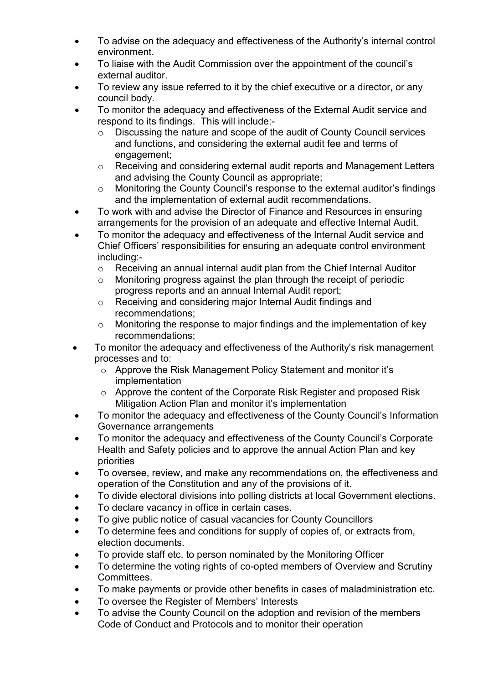- To advise on the adequacy and effectiveness of the Authority's internal control environment.
- To liaise with the Audit Commission over the appointment of the council's external auditor.
- To review any issue referred to it by the chief executive or a director, or any council body.
- To monitor the adequacy and effectiveness of the External Audit service and respond to its findings. This will include:
	- o Discussing the nature and scope of the audit of County Council services and functions, and considering the external audit fee and terms of engagement;
	- o Receiving and considering external audit reports and Management Letters and advising the County Council as appropriate;
	- o Monitoring the County Council's response to the external auditor's findings and the implementation of external audit recommendations.
- To work with and advise the Director of Finance and Resources in ensuring arrangements for the provision of an adequate and effective Internal Audit.
- To monitor the adequacy and effectiveness of the Internal Audit service and Chief Officers' responsibilities for ensuring an adequate control environment including:
	- o Receiving an annual internal audit plan from the Chief Internal Auditor
	- o Monitoring progress against the plan through the receipt of periodic progress reports and an annual Internal Audit report;
	- o Receiving and considering major Internal Audit findings and recommendations;
	- o Monitoring the response to major findings and the implementation of key recommendations;
- To monitor the adequacy and effectiveness of the Authority's risk management processes and to:
	- o Approve the Risk Management Policy Statement and monitor it's implementation
	- o Approve the content of the Corporate Risk Register and proposed Risk Mitigation Action Plan and monitor it's implementation
- To monitor the adequacy and effectiveness of the County Council's Information Governance arrangements
- To monitor the adequacy and effectiveness of the County Council's Corporate Health and Safety policies and to approve the annual Action Plan and key priorities
- To oversee, review, and make any recommendations on, the effectiveness and operation of the Constitution and any of the provisions of it.
- To divide electoral divisions into polling districts at local Government elections.
- To declare vacancy in office in certain cases.
- To give public notice of casual vacancies for County Councillors
- To determine fees and conditions for supply of copies of, or extracts from, election documents.
- To provide staff etc. to person nominated by the Monitoring Officer
- To determine the voting rights of co-opted members of Overview and Scrutiny Committees.
- To make payments or provide other benefits in cases of maladministration etc.
- To oversee the Register of Members' Interests
- To advise the County Council on the adoption and revision of the members Code of Conduct and Protocols and to monitor their operation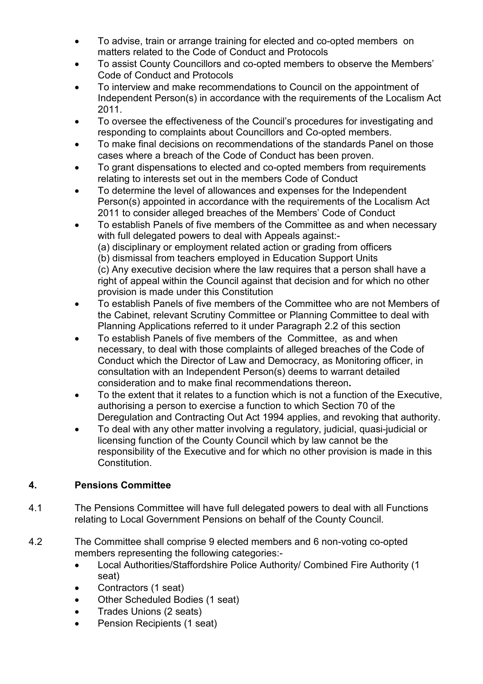- To advise, train or arrange training for elected and co-opted members on matters related to the Code of Conduct and Protocols
- To assist County Councillors and co-opted members to observe the Members' Code of Conduct and Protocols
- To interview and make recommendations to Council on the appointment of Independent Person(s) in accordance with the requirements of the Localism Act 2011.
- To oversee the effectiveness of the Council's procedures for investigating and responding to complaints about Councillors and Co-opted members.
- To make final decisions on recommendations of the standards Panel on those cases where a breach of the Code of Conduct has been proven.
- To grant dispensations to elected and co-opted members from requirements relating to interests set out in the members Code of Conduct
- To determine the level of allowances and expenses for the Independent Person(s) appointed in accordance with the requirements of the Localism Act 2011 to consider alleged breaches of the Members' Code of Conduct
- To establish Panels of five members of the Committee as and when necessary with full delegated powers to deal with Appeals against:- (a) disciplinary or employment related action or grading from officers (b) dismissal from teachers employed in Education Support Units (c) Any executive decision where the law requires that a person shall have a right of appeal within the Council against that decision and for which no other provision is made under this Constitution
- To establish Panels of five members of the Committee who are not Members of the Cabinet, relevant Scrutiny Committee or Planning Committee to deal with Planning Applications referred to it under Paragraph 2.2 of this section
- To establish Panels of five members of the Committee, as and when necessary, to deal with those complaints of alleged breaches of the Code of Conduct which the Director of Law and Democracy, as Monitoring officer, in consultation with an Independent Person(s) deems to warrant detailed consideration and to make final recommendations thereon**.**
- To the extent that it relates to a function which is not a function of the Executive, authorising a person to exercise a function to which Section 70 of the Deregulation and Contracting Out Act 1994 applies, and revoking that authority.
- To deal with any other matter involving a regulatory, judicial, quasi-judicial or licensing function of the County Council which by law cannot be the responsibility of the Executive and for which no other provision is made in this Constitution.

# **4. Pensions Committee**

- 4.1 The Pensions Committee will have full delegated powers to deal with all Functions relating to Local Government Pensions on behalf of the County Council.
- 4.2 The Committee shall comprise 9 elected members and 6 non-voting co-opted members representing the following categories:-
	- Local Authorities/Staffordshire Police Authority/ Combined Fire Authority (1 seat)
	- Contractors (1 seat)
	- Other Scheduled Bodies (1 seat)
	- Trades Unions (2 seats)
	- Pension Recipients (1 seat)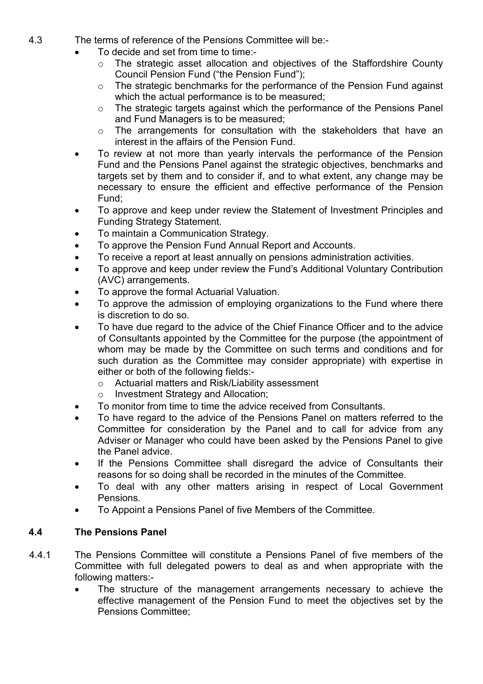- 4.3 The terms of reference of the Pensions Committee will be:-
	- To decide and set from time to time:
		- o The strategic asset allocation and objectives of the Staffordshire County Council Pension Fund ("the Pension Fund");
		- o The strategic benchmarks for the performance of the Pension Fund against which the actual performance is to be measured;
		- o The strategic targets against which the performance of the Pensions Panel and Fund Managers is to be measured;
		- o The arrangements for consultation with the stakeholders that have an interest in the affairs of the Pension Fund.
	- To review at not more than yearly intervals the performance of the Pension Fund and the Pensions Panel against the strategic objectives, benchmarks and targets set by them and to consider if, and to what extent, any change may be necessary to ensure the efficient and effective performance of the Pension Fund;
	- To approve and keep under review the Statement of Investment Principles and Funding Strategy Statement.
	- To maintain a Communication Strategy.
	- To approve the Pension Fund Annual Report and Accounts.
	- To receive a report at least annually on pensions administration activities.
	- To approve and keep under review the Fund's Additional Voluntary Contribution (AVC) arrangements.
	- To approve the formal Actuarial Valuation.
	- To approve the admission of employing organizations to the Fund where there is discretion to do so.
	- To have due regard to the advice of the Chief Finance Officer and to the advice of Consultants appointed by the Committee for the purpose (the appointment of whom may be made by the Committee on such terms and conditions and for such duration as the Committee may consider appropriate) with expertise in either or both of the following fields:
		- o Actuarial matters and Risk/Liability assessment
		- o Investment Strategy and Allocation;
	- To monitor from time to time the advice received from Consultants.
	- To have regard to the advice of the Pensions Panel on matters referred to the Committee for consideration by the Panel and to call for advice from any Adviser or Manager who could have been asked by the Pensions Panel to give the Panel advice.
	- If the Pensions Committee shall disregard the advice of Consultants their reasons for so doing shall be recorded in the minutes of the Committee.
	- To deal with any other matters arising in respect of Local Government Pensions.
	- To Appoint a Pensions Panel of five Members of the Committee.

## **4.4 The Pensions Panel**

- 4.4.1 The Pensions Committee will constitute a Pensions Panel of five members of the Committee with full delegated powers to deal as and when appropriate with the following matters:-
	- The structure of the management arrangements necessary to achieve the effective management of the Pension Fund to meet the objectives set by the Pensions Committee;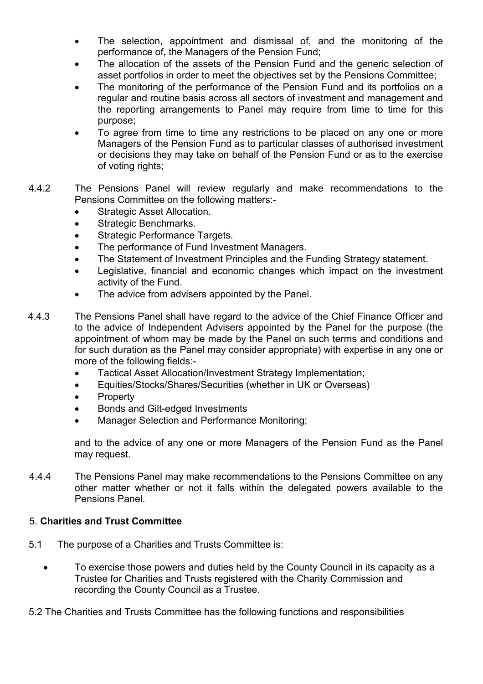- The selection, appointment and dismissal of, and the monitoring of the performance of, the Managers of the Pension Fund;
- The allocation of the assets of the Pension Fund and the generic selection of asset portfolios in order to meet the objectives set by the Pensions Committee;
- The monitoring of the performance of the Pension Fund and its portfolios on a regular and routine basis across all sectors of investment and management and the reporting arrangements to Panel may require from time to time for this purpose;
- To agree from time to time any restrictions to be placed on any one or more Managers of the Pension Fund as to particular classes of authorised investment or decisions they may take on behalf of the Pension Fund or as to the exercise of voting rights;
- 4.4.2 The Pensions Panel will review regularly and make recommendations to the Pensions Committee on the following matters:-
	- Strategic Asset Allocation.
	- Strategic Benchmarks.
	- Strategic Performance Targets.
	- The performance of Fund Investment Managers.
	- The Statement of Investment Principles and the Funding Strategy statement.
	- Legislative, financial and economic changes which impact on the investment activity of the Fund.
	- The advice from advisers appointed by the Panel.
- 4.4.3 The Pensions Panel shall have regard to the advice of the Chief Finance Officer and to the advice of Independent Advisers appointed by the Panel for the purpose (the appointment of whom may be made by the Panel on such terms and conditions and for such duration as the Panel may consider appropriate) with expertise in any one or more of the following fields:-
	- Tactical Asset Allocation/Investment Strategy Implementation;
	- Equities/Stocks/Shares/Securities (whether in UK or Overseas)
	- Property
	- Bonds and Gilt-edged Investments
	- Manager Selection and Performance Monitoring;

 and to the advice of any one or more Managers of the Pension Fund as the Panel may request.

4.4.4 The Pensions Panel may make recommendations to the Pensions Committee on any other matter whether or not it falls within the delegated powers available to the Pensions Panel.

## 5. **Charities and Trust Committee**

- 5.1 The purpose of a Charities and Trusts Committee is:
	- To exercise those powers and duties held by the County Council in its capacity as a Trustee for Charities and Trusts registered with the Charity Commission and recording the County Council as a Trustee.
- 5.2 The Charities and Trusts Committee has the following functions and responsibilities